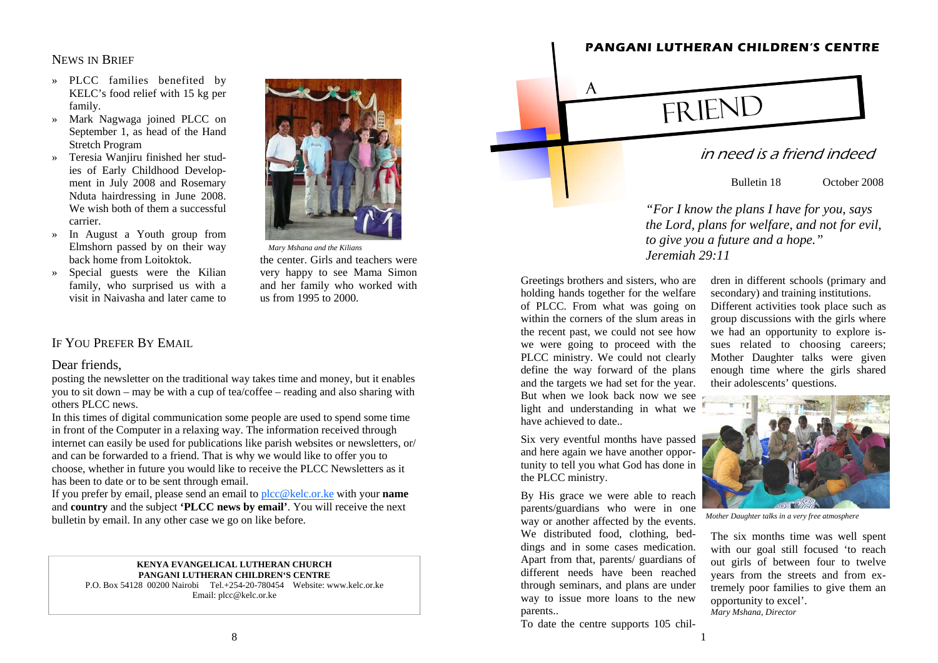### NEWS IN BRIEF

- » PLCC families benefited by KELC's food relief with 15 kg per family.
- » Mark Nagwaga joined PLCC on September 1, as head of the Hand Stretch Program
- » Teresia Wanjiru finished her studies of Early Childhood Development in July 2008 and Rosemary Nduta hairdressing in June 2008. We wish both of them a successful carrier.
- » In August a Youth group from Elmshorn passed by on their way back home from Loitoktok.
- » Special guests were the Kilian family, who surprised us with a visit in Naivasha and later came to



*Mary Mshana and the Kilians* 

the center. Girls and teachers were very happy to see Mama Simon and her family who worked with us from 1995 to 2000.

## IF YOU PREFER BY EMAIL

### Dear friends,

posting the newsletter on the traditional way takes time and money, but it enables you to sit down – may be with a cup of tea/coffee – reading and also sharing with others PLCC news.

In this times of digital communication some people are used to spend some time in front of the Computer in a relaxing way. The information received through internet can easily be used for publications like parish websites or newsletters, or/ and can be forwarded to a friend. That is why we would like to offer you to choose, whether in future you would like to receive the PLCC Newsletters as it has been to date or to be sent through email.

If you prefer by email, please send an email to plcc@kelc.or.ke with your **name**  and **country** and the subject **'PLCC news by email'**. You will receive the next bulletin by email. In any other case we go on like before.

#### **KENYA EVANGELICAL LUTHERAN CHURCH PANGANI LUTHERAN CHILDREN'S CENTRE**

P.O. Box 54128 00200 Nairobi Tel.+254-20-780454 Website: www.kelc.or.ke Email: plcc@kelc.or.ke



*the Lord, plans for welfare, and not for evil, to give you a future and a hope." Jeremiah 29:11*

Greetings brothers and sisters, who are holding hands together for the welfare of PLCC. From what was going on within the corners of the slum areas in the recent past, we could not see how we were going to proceed with the PLCC ministry. We could not clearly define the way forward of the plans and the targets we had set for the year. But when we look back now we see light and understanding in what we have achieved to date..

Six very eventful months have passed and here again we have another opportunity to tell you what God has done in the PLCC ministry.

By His grace we were able to reach parents/guardians who were in one way or another affected by the events. We distributed food, clothing, beddings and in some cases medication. Apart from that, parents/ guardians of different needs have been reached through seminars, and plans are under way to issue more loans to the new parents..

To date the centre supports 105 chil-

dren in different schools (primary and secondary) and training institutions.<br>Different activities took place such as group discussions with the girls where we had an opportunity to explore is-<br>sues related to choosing care



*Mother Daughter talks in a very free atmosphere* 

tremely poor families to give them an opportunity to excel'. *Mary Mshana, Director*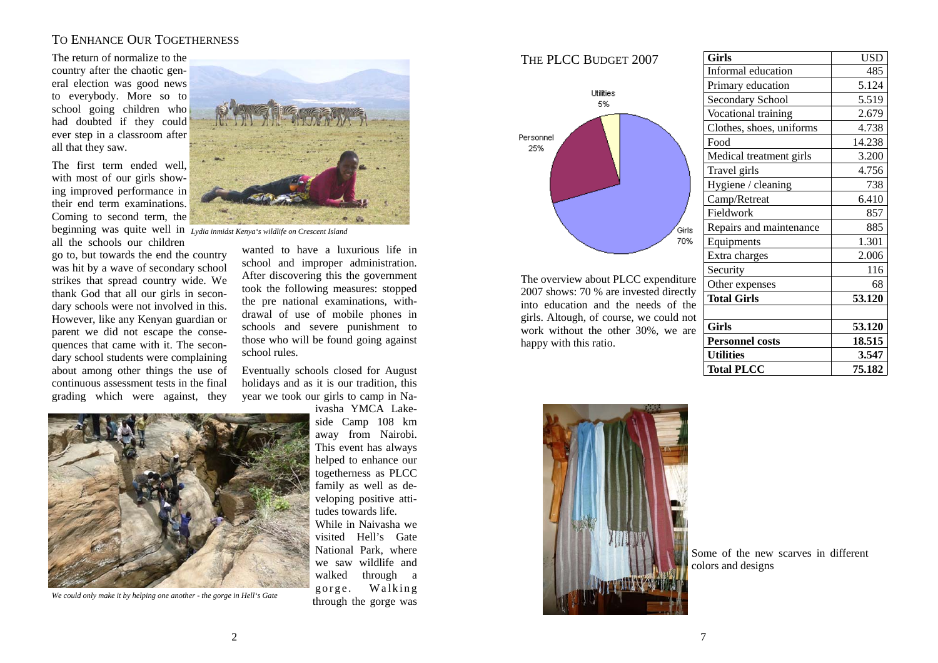# TO ENHANCE OUR TOGETHERNESS

The return of normalize to the country after the chaotic general election was good news to everybody. More so to school going children who had doubted if they could ever step in a classroom after all that they saw.

The first term ended well, with most of our girls showing improved performance in their end term examinations. Coming to second term, the beginning was quite well in *Lydia inmidst Kenya's wildlife on Crescent Island*  all the schools our children

go to, but towards the end the country was hit by a wave of secondary school strikes that spread country wide. We thank God that all our girls in secondary schools were not involved in this. However, like any Kenyan guardian or parent we did not escape the consequences that came with it. The secondary school students were complaining about among other things the use of continuous assessment tests in the final grading which were against, they



wanted to have a luxurious life in school and improper administration. After discovering this the government took the following measures: stopped the pre national examinations, withdrawal of use of mobile phones in schools and severe punishment to those who will be found going against school rules.

Eventually schools closed for August holidays and as it is our tradition, this year we took our girls to camp in Na-



*We could only make it by helping one another - the gorge in Hell's Gate* 

ivasha YMCA Lakeside Camp 108 km away from Nairobi. This event has always helped to enhance our togetherness as PLCC family as well as developing positive attitudes towards life.

While in Naivasha we visited Hell's Gate National Park, where we saw wildlife and walked through a gorge. Walking through the gorge was



The overview about PLCC expenditure 2007 shows: 70 % are invested directly into education and the needs of the girls. Altough, of course, we could not work without the other 30%, we are happy with this ratio.

| Girls                    | <b>USD</b>    |
|--------------------------|---------------|
| Informal education       | 485           |
| Primary education        | 5.124         |
| Secondary School         | 5.519         |
| Vocational training      | 2.679         |
| Clothes, shoes, uniforms | 4.738         |
| Food                     | 14.238        |
| Medical treatment girls  | 3.200         |
| Travel girls             | 4.756         |
| Hygiene / cleaning       | 738           |
| Camp/Retreat             | 6.410         |
| Fieldwork                | 857           |
| Repairs and maintenance  | 885           |
| Equipments               | 1.301         |
| Extra charges            | 2.006         |
| Security                 | 116           |
| Other expenses           | 68            |
| <b>Total Girls</b>       | <b>53.120</b> |
|                          |               |
| Girls                    | 53.120        |
| <b>Personnel costs</b>   | 18.515        |
| <b>Utilities</b>         | 3.547         |
| <b>Total PLCC</b>        | 75.182        |



Some of the new scarves in different colors and designs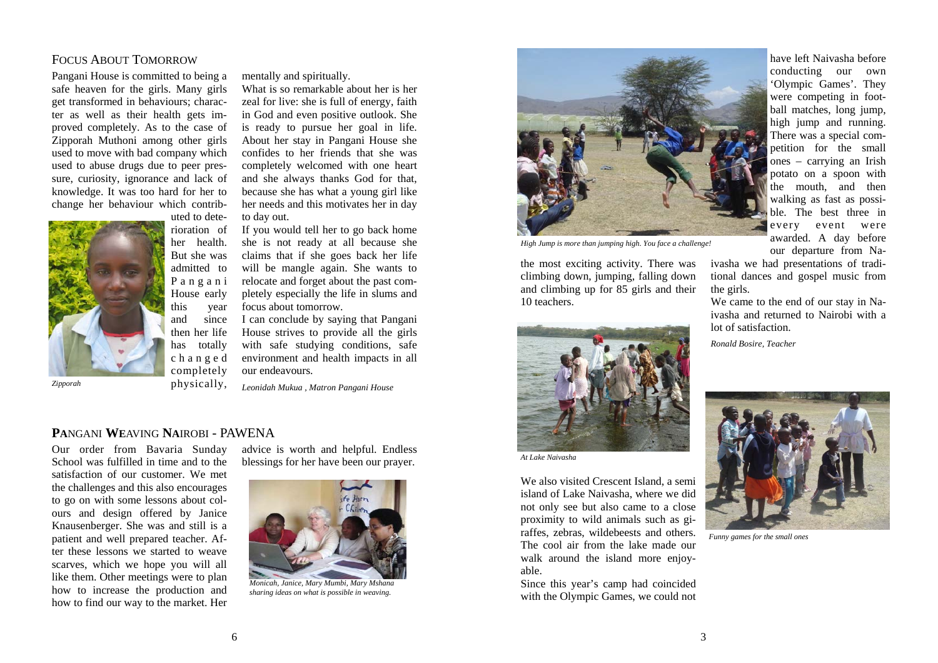# FOCUS ABOUT TOMORROW

Pangani House is committed to being a safe heaven for the girls. Many girls get transformed in behaviours; character as well as their health gets improved completely. As to the case of Zipporah Muthoni among other girls used to move with bad company which used to abuse drugs due to peer pressure, curiosity, ignorance and lack of knowledge. It was too hard for her to change her behaviour which contrib-



uted to deterioration of her health. But she was admitted to P <sup>a</sup> <sup>n</sup> g <sup>a</sup> <sup>n</sup> i House early this year and since then her life has totally <sup>c</sup> h <sup>a</sup> <sup>n</sup> g <sup>e</sup> d completely

*Zipporah* 

mentally and spiritually.

What is so remarkable about her is her zeal for live: she is full of energy, faith in God and even positive outlook. She is ready to pursue her goal in life. About her stay in Pangani House she confides to her friends that she was completely welcomed with one heart and she always thanks God for that, because she has what a young girl like her needs and this motivates her in day to day out.

If you would tell her to go back home she is not ready at all because she claims that if she goes back her life will be mangle again. She wants to relocate and forget about the past completely especially the life in slums and focus about tomorrow.

I can conclude by saying that Pangani House strives to provide all the girls with safe studying conditions, safe environment and health impacts in all our endeavours.

*Leonidah Mukua , Matron Pangani House* 

### **PA**NGANI **WE**AVING **NA**IROBI - PAWENA

Our order from Bavaria Sunday School was fulfilled in time and to the satisfaction of our customer. We met the challenges and this also encourages to go on with some lessons about colours and design offered by Janice Knausenberger. She was and still is a patient and well prepared teacher. After these lessons we started to weave scarves, which we hope you will all like them. Other meetings were to plan how to increase the production and how to find our way to the market. Her

advice is worth and helpful. Endless blessings for her have been our prayer.



*Monicah, Janice, Mary Mumbi, Mary Mshana sharing ideas on what is possible in weaving.* 



*High Jump is more than jumping high. You face a challenge!* 

the most exciting activity. There was climbing down, jumping, falling down and climbing up for 85 girls and their 10 teachers.



*At Lake Naivasha* 

We also visited Crescent Island, a semi island of Lake Naivasha, where we did not only see but also came to a close proximity to wild animals such as giraffes, zebras, wildebeests and others. The cool air from the lake made our walk around the island more enjoyable.

Since this year's camp had coincided with the Olympic Games, we could not have left Naivasha before conducting our own 'Olympic Games'. They were competing in football matches, long jump, high jump and running. There was a special competition for the small ones – carrying an Irish potato on a spoon with the mouth, and then walking as fast as possible. The best three in every event were awarded. A day before our departure from Na-

ivasha we had presentations of traditional dances and gospel music from the girls.

We came to the end of our stay in Naivasha and returned to Nairobi with a lot of satisfaction.

*Ronald Bosire, Teacher* 



*Funny games for the small ones*